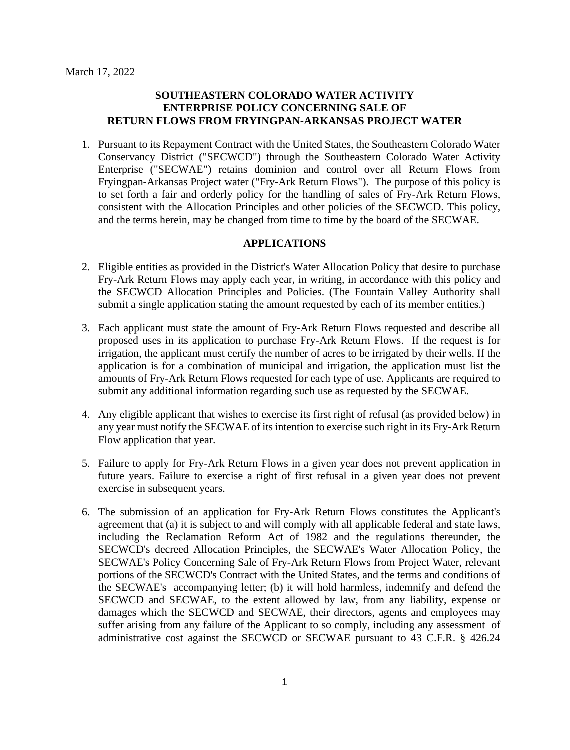# **SOUTHEASTERN COLORADO WATER ACTIVITY ENTERPRISE POLICY CONCERNING SALE OF RETURN FLOWS FROM FRYINGPAN-ARKANSAS PROJECT WATER**

1. Pursuant to its Repayment Contract with the United States, the Southeastern Colorado Water Conservancy District ("SECWCD") through the Southeastern Colorado Water Activity Enterprise ("SECWAE") retains dominion and control over all Return Flows from Fryingpan-Arkansas Project water ("Fry-Ark Return Flows"). The purpose of this policy is to set forth a fair and orderly policy for the handling of sales of Fry-Ark Return Flows, consistent with the Allocation Principles and other policies of the SECWCD. This policy, and the terms herein, may be changed from time to time by the board of the SECWAE.

# **APPLICATIONS**

- 2. Eligible entities as provided in the District's Water Allocation Policy that desire to purchase Fry-Ark Return Flows may apply each year, in writing, in accordance with this policy and the SECWCD Allocation Principles and Policies. (The Fountain Valley Authority shall submit a single application stating the amount requested by each of its member entities.)
- 3. Each applicant must state the amount of Fry-Ark Return Flows requested and describe all proposed uses in its application to purchase Fry-Ark Return Flows. If the request is for irrigation, the applicant must certify the number of acres to be irrigated by their wells. If the application is for a combination of municipal and irrigation, the application must list the amounts of Fry-Ark Return Flows requested for each type of use. Applicants are required to submit any additional information regarding such use as requested by the SECWAE.
- 4. Any eligible applicant that wishes to exercise its first right of refusal (as provided below) in any year must notify the SECWAE of its intention to exercise such right in its Fry-Ark Return Flow application that year.
- 5. Failure to apply for Fry-Ark Return Flows in a given year does not prevent application in future years. Failure to exercise a right of first refusal in a given year does not prevent exercise in subsequent years.
- 6. The submission of an application for Fry-Ark Return Flows constitutes the Applicant's agreement that (a) it is subject to and will comply with all applicable federal and state laws, including the Reclamation Reform Act of 1982 and the regulations thereunder, the SECWCD's decreed Allocation Principles, the SECWAE's Water Allocation Policy, the SECWAE's Policy Concerning Sale of Fry-Ark Return Flows from Project Water, relevant portions of the SECWCD's Contract with the United States, and the terms and conditions of the SECWAE's accompanying letter; (b) it will hold harmless, indemnify and defend the SECWCD and SECWAE, to the extent allowed by law, from any liability, expense or damages which the SECWCD and SECWAE, their directors, agents and employees may suffer arising from any failure of the Applicant to so comply, including any assessment of administrative cost against the SECWCD or SECWAE pursuant to 43 C.F.R. § 426.24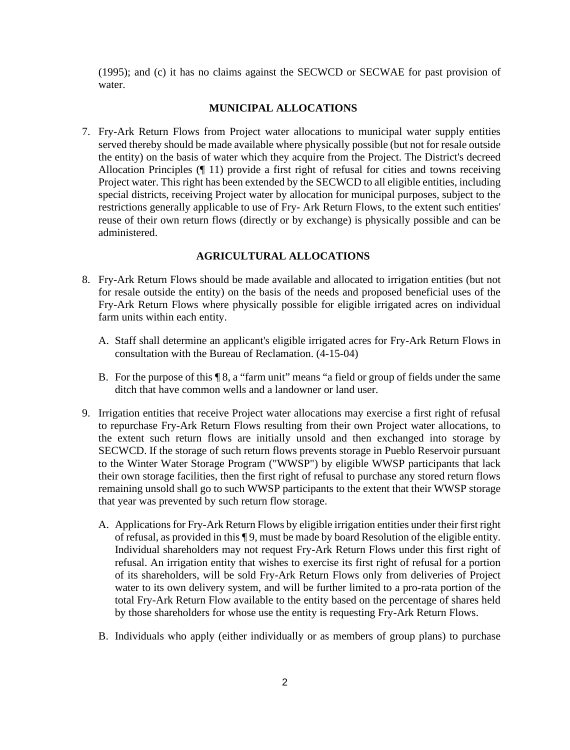(1995); and (c) it has no claims against the SECWCD or SECWAE for past provision of water.

### **MUNICIPAL ALLOCATIONS**

7. Fry-Ark Return Flows from Project water allocations to municipal water supply entities served thereby should be made available where physically possible (but not for resale outside the entity) on the basis of water which they acquire from the Project. The District's decreed Allocation Principles (¶ 11) provide a first right of refusal for cities and towns receiving Project water. This right has been extended by the SECWCD to all eligible entities, including special districts, receiving Project water by allocation for municipal purposes, subject to the restrictions generally applicable to use of Fry- Ark Return Flows, to the extent such entities' reuse of their own return flows (directly or by exchange) is physically possible and can be administered.

### **AGRICULTURAL ALLOCATIONS**

- 8. Fry-Ark Return Flows should be made available and allocated to irrigation entities (but not for resale outside the entity) on the basis of the needs and proposed beneficial uses of the Fry-Ark Return Flows where physically possible for eligible irrigated acres on individual farm units within each entity.
	- A. Staff shall determine an applicant's eligible irrigated acres for Fry-Ark Return Flows in consultation with the Bureau of Reclamation. (4-15-04)
	- B. For the purpose of this ¶ 8, a "farm unit" means "a field or group of fields under the same ditch that have common wells and a landowner or land user.
- 9. Irrigation entities that receive Project water allocations may exercise a first right of refusal to repurchase Fry-Ark Return Flows resulting from their own Project water allocations, to the extent such return flows are initially unsold and then exchanged into storage by SECWCD. If the storage of such return flows prevents storage in Pueblo Reservoir pursuant to the Winter Water Storage Program ("WWSP") by eligible WWSP participants that lack their own storage facilities, then the first right of refusal to purchase any stored return flows remaining unsold shall go to such WWSP participants to the extent that their WWSP storage that year was prevented by such return flow storage.
	- A. Applications for Fry-Ark Return Flows by eligible irrigation entities under their first right of refusal, as provided in this ¶ 9, must be made by board Resolution of the eligible entity. Individual shareholders may not request Fry-Ark Return Flows under this first right of refusal. An irrigation entity that wishes to exercise its first right of refusal for a portion of its shareholders, will be sold Fry-Ark Return Flows only from deliveries of Project water to its own delivery system, and will be further limited to a pro-rata portion of the total Fry-Ark Return Flow available to the entity based on the percentage of shares held by those shareholders for whose use the entity is requesting Fry-Ark Return Flows.
	- B. Individuals who apply (either individually or as members of group plans) to purchase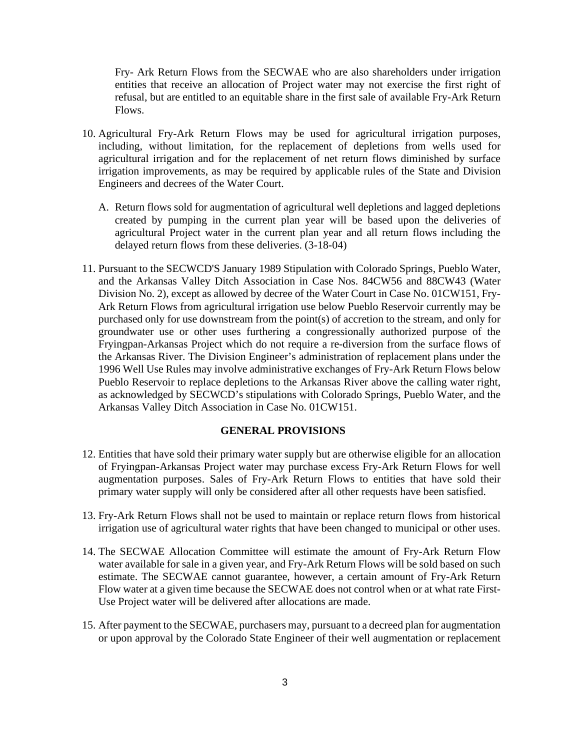Fry- Ark Return Flows from the SECWAE who are also shareholders under irrigation entities that receive an allocation of Project water may not exercise the first right of refusal, but are entitled to an equitable share in the first sale of available Fry-Ark Return Flows.

- 10. Agricultural Fry-Ark Return Flows may be used for agricultural irrigation purposes, including, without limitation, for the replacement of depletions from wells used for agricultural irrigation and for the replacement of net return flows diminished by surface irrigation improvements, as may be required by applicable rules of the State and Division Engineers and decrees of the Water Court.
	- A. Return flows sold for augmentation of agricultural well depletions and lagged depletions created by pumping in the current plan year will be based upon the deliveries of agricultural Project water in the current plan year and all return flows including the delayed return flows from these deliveries. (3-18-04)
- 11. Pursuant to the SECWCD'S January 1989 Stipulation with Colorado Springs, Pueblo Water, and the Arkansas Valley Ditch Association in Case Nos. 84CW56 and 88CW43 (Water Division No. 2), except as allowed by decree of the Water Court in Case No. 01CW151, Fry-Ark Return Flows from agricultural irrigation use below Pueblo Reservoir currently may be purchased only for use downstream from the point(s) of accretion to the stream, and only for groundwater use or other uses furthering a congressionally authorized purpose of the Fryingpan-Arkansas Project which do not require a re-diversion from the surface flows of the Arkansas River. The Division Engineer's administration of replacement plans under the 1996 Well Use Rules may involve administrative exchanges of Fry-Ark Return Flows below Pueblo Reservoir to replace depletions to the Arkansas River above the calling water right, as acknowledged by SECWCD's stipulations with Colorado Springs, Pueblo Water, and the Arkansas Valley Ditch Association in Case No. 01CW151.

### **GENERAL PROVISIONS**

- 12. Entities that have sold their primary water supply but are otherwise eligible for an allocation of Fryingpan-Arkansas Project water may purchase excess Fry-Ark Return Flows for well augmentation purposes. Sales of Fry-Ark Return Flows to entities that have sold their primary water supply will only be considered after all other requests have been satisfied.
- 13. Fry-Ark Return Flows shall not be used to maintain or replace return flows from historical irrigation use of agricultural water rights that have been changed to municipal or other uses.
- 14. The SECWAE Allocation Committee will estimate the amount of Fry-Ark Return Flow water available for sale in a given year, and Fry-Ark Return Flows will be sold based on such estimate. The SECWAE cannot guarantee, however, a certain amount of Fry-Ark Return Flow water at a given time because the SECWAE does not control when or at what rate First-Use Project water will be delivered after allocations are made.
- 15. After payment to the SECWAE, purchasers may, pursuant to a decreed plan for augmentation or upon approval by the Colorado State Engineer of their well augmentation or replacement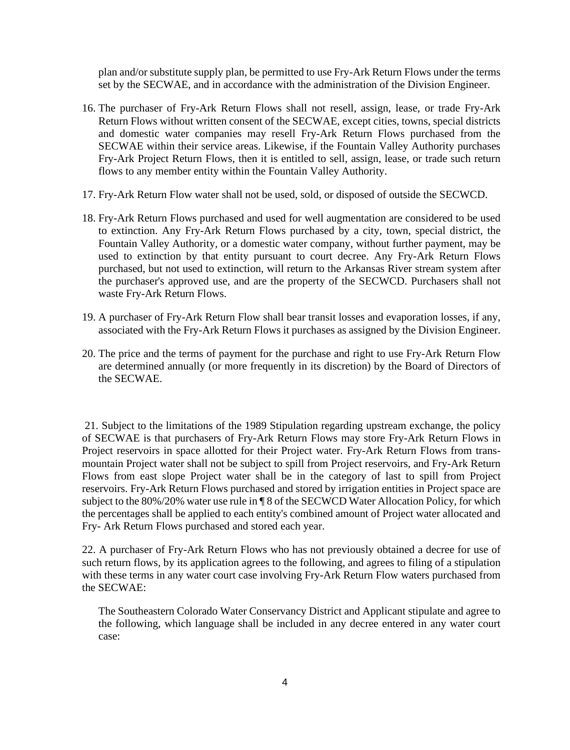plan and/or substitute supply plan, be permitted to use Fry-Ark Return Flows under the terms set by the SECWAE, and in accordance with the administration of the Division Engineer.

- 16. The purchaser of Fry-Ark Return Flows shall not resell, assign, lease, or trade Fry-Ark Return Flows without written consent of the SECWAE, except cities, towns, special districts and domestic water companies may resell Fry-Ark Return Flows purchased from the SECWAE within their service areas. Likewise, if the Fountain Valley Authority purchases Fry-Ark Project Return Flows, then it is entitled to sell, assign, lease, or trade such return flows to any member entity within the Fountain Valley Authority.
- 17. Fry-Ark Return Flow water shall not be used, sold, or disposed of outside the SECWCD.
- 18. Fry-Ark Return Flows purchased and used for well augmentation are considered to be used to extinction. Any Fry-Ark Return Flows purchased by a city, town, special district, the Fountain Valley Authority, or a domestic water company, without further payment, may be used to extinction by that entity pursuant to court decree. Any Fry-Ark Return Flows purchased, but not used to extinction, will return to the Arkansas River stream system after the purchaser's approved use, and are the property of the SECWCD. Purchasers shall not waste Fry-Ark Return Flows.
- 19. A purchaser of Fry-Ark Return Flow shall bear transit losses and evaporation losses, if any, associated with the Fry-Ark Return Flows it purchases as assigned by the Division Engineer.
- 20. The price and the terms of payment for the purchase and right to use Fry-Ark Return Flow are determined annually (or more frequently in its discretion) by the Board of Directors of the SECWAE.

21. Subject to the limitations of the 1989 Stipulation regarding upstream exchange, the policy of SECWAE is that purchasers of Fry-Ark Return Flows may store Fry-Ark Return Flows in Project reservoirs in space allotted for their Project water. Fry-Ark Return Flows from transmountain Project water shall not be subject to spill from Project reservoirs, and Fry-Ark Return Flows from east slope Project water shall be in the category of last to spill from Project reservoirs. Fry-Ark Return Flows purchased and stored by irrigation entities in Project space are subject to the 80%/20% water use rule in ¶ 8 of the SECWCD Water Allocation Policy, for which the percentages shall be applied to each entity's combined amount of Project water allocated and Fry- Ark Return Flows purchased and stored each year.

22. A purchaser of Fry-Ark Return Flows who has not previously obtained a decree for use of such return flows, by its application agrees to the following, and agrees to filing of a stipulation with these terms in any water court case involving Fry-Ark Return Flow waters purchased from the SECWAE:

The Southeastern Colorado Water Conservancy District and Applicant stipulate and agree to the following, which language shall be included in any decree entered in any water court case: